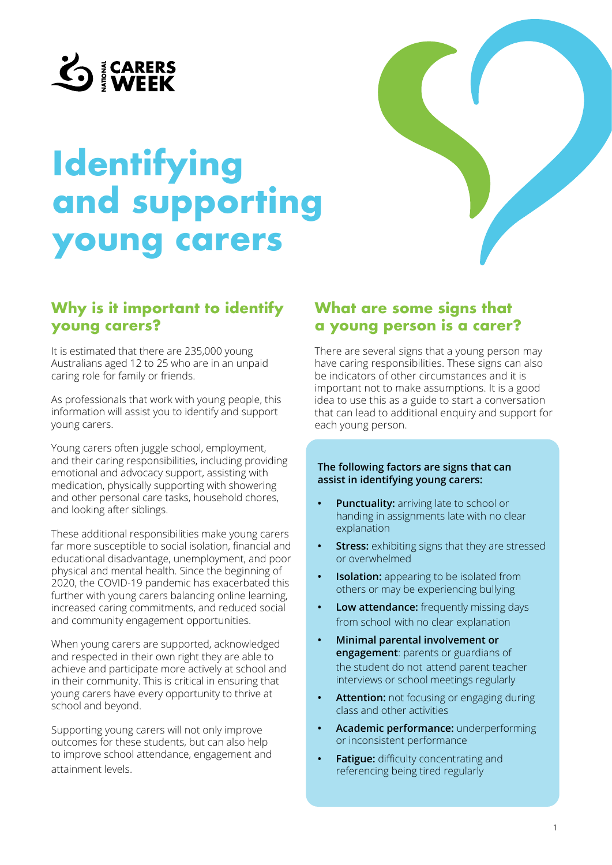

# **Identifying and supporting young carers**

## **Why is it important to identify young carers?**

It is estimated that there are 235,000 young Australians aged 12 to 25 who are in an unpaid caring role for family or friends.

As professionals that work with young people, this information will assist you to identify and support young carers.

Young carers often juggle school, employment, and their caring responsibilities, including providing emotional and advocacy support, assisting with medication, physically supporting with showering and other personal care tasks, household chores, and looking after siblings.

These additional responsibilities make young carers far more susceptible to social isolation, financial and educational disadvantage, unemployment, and poor physical and mental health. Since the beginning of 2020, the COVID-19 pandemic has exacerbated this further with young carers balancing online learning, increased caring commitments, and reduced social and community engagement opportunities.

When young carers are supported, acknowledged and respected in their own right they are able to achieve and participate more actively at school and in their community. This is critical in ensuring that young carers have every opportunity to thrive at school and beyond.

Supporting young carers will not only improve outcomes for these students, but can also help to improve school attendance, engagement and attainment levels.

## **What are some signs that a young person is a carer?**

There are several signs that a young person may have caring responsibilities. These signs can also be indicators of other circumstances and it is important not to make assumptions. It is a good idea to use this as a guide to start a conversation that can lead to additional enquiry and support for each young person.

#### **The following factors are signs that can assist in identifying young carers:**

- **• Punctuality:** arriving late to school or handing in assignments late with no clear explanation
- **Stress:** exhibiting signs that they are stressed or overwhelmed
- **• Isolation:** appearing to be isolated from others or may be experiencing bullying
- **• Low attendance:** frequently missing days from school with no clear explanation
- **• Minimal parental involvement or engagement**: parents or guardians of the student do not attend parent teacher interviews or school meetings regularly
- **• Attention:** not focusing or engaging during class and other activities
- **• Academic performance:** underperforming or inconsistent performance
- **• Fatigue:** difficulty concentrating and referencing being tired regularly